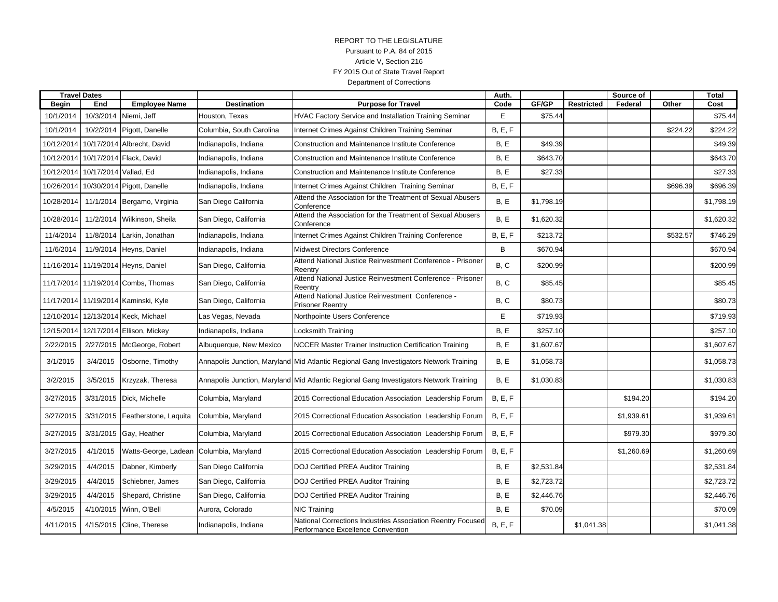# REPORT TO THE LEGISLATURE Pursuant to P.A. 84 of 2015 Article V, Section 216 FY 2015 Out of State Travel Report Department of Corrections

| <b>Travel Dates</b> |                                  |                                      |                          |                                                                                                  | Auth.   |            |                   | Source of  |          | <b>Total</b> |
|---------------------|----------------------------------|--------------------------------------|--------------------------|--------------------------------------------------------------------------------------------------|---------|------------|-------------------|------------|----------|--------------|
| <b>Begin</b>        | End                              | <b>Employee Name</b>                 | <b>Destination</b>       | <b>Purpose for Travel</b>                                                                        | Code    | GF/GP      | <b>Restricted</b> | Federal    | Other    | Cost         |
| 10/1/2014           | 10/3/2014                        | Niemi, Jeff                          | Houston, Texas           | <b>HVAC Factory Service and Installation Training Seminar</b>                                    | E       | \$75.44    |                   |            |          | \$75.44      |
| 10/1/2014           | 10/2/2014                        | Pigott, Danelle                      | Columbia, South Carolina | Internet Crimes Against Children Training Seminar                                                | B, E, F |            |                   |            | \$224.22 | \$224.22     |
| 10/12/2014          |                                  | 10/17/2014 Albrecht, David           | Indianapolis, Indiana    | Construction and Maintenance Institute Conference                                                | B, E    | \$49.39    |                   |            |          | \$49.39      |
| 10/12/2014          |                                  | 10/17/2014 Flack, David              | Indianapolis, Indiana    | Construction and Maintenance Institute Conference                                                | B, E    | \$643.70   |                   |            |          | \$643.70     |
|                     | 10/12/2014 10/17/2014 Vallad, Ed |                                      | Indianapolis, Indiana    | Construction and Maintenance Institute Conference                                                | B, E    | \$27.33    |                   |            |          | \$27.33      |
| 10/26/2014          |                                  | 10/30/2014 Pigott, Danelle           | Indianapolis, Indiana    | Internet Crimes Against Children Training Seminar                                                | B, E, F |            |                   |            | \$696.39 | \$696.39     |
| 10/28/2014          | 11/1/2014                        | Bergamo, Virginia                    | San Diego California     | Attend the Association for the Treatment of Sexual Abusers<br>Conference                         | B, E    | \$1,798.19 |                   |            |          | \$1,798.19   |
| 10/28/2014          | 11/2/2014                        | Wilkinson, Sheila                    | San Diego, California    | Attend the Association for the Treatment of Sexual Abusers<br>Conference                         | B, E    | \$1,620.32 |                   |            |          | \$1,620.32   |
| 11/4/2014           | 11/8/2014                        | Larkin. Jonathan                     | Indianapolis, Indiana    | Internet Crimes Against Children Training Conference                                             | B, E, F | \$213.72   |                   |            | \$532.57 | \$746.29     |
| 11/6/2014           | 11/9/2014                        | Heyns, Daniel                        | Indianapolis, Indiana    | <b>Midwest Directors Conference</b>                                                              | B       | \$670.94   |                   |            |          | \$670.94     |
|                     |                                  | 11/16/2014 11/19/2014 Heyns, Daniel  | San Diego, California    | Attend National Justice Reinvestment Conference - Prisoner<br>Reentry                            | B, C    | \$200.99   |                   |            |          | \$200.99     |
|                     |                                  | 11/17/2014 11/19/2014 Combs, Thomas  | San Diego, California    | Attend National Justice Reinvestment Conference - Prisoner<br>Reentry                            | B. C    | \$85.45    |                   |            |          | \$85.45      |
|                     |                                  | 11/17/2014 11/19/2014 Kaminski, Kyle | San Diego, California    | Attend National Justice Reinvestment Conference -<br><b>Prisoner Reentry</b>                     | B, C    | \$80.73    |                   |            |          | \$80.73      |
| 12/10/2014          |                                  | 12/13/2014 Keck, Michael             | Las Vegas, Nevada        | Northpointe Users Conference                                                                     | E       | \$719.93   |                   |            |          | \$719.93     |
| 12/15/2014          |                                  | 12/17/2014 Ellison, Mickey           | Indianapolis, Indiana    | <b>Locksmith Training</b>                                                                        | B.E     | \$257.10   |                   |            |          | \$257.10     |
| 2/22/2015           | 2/27/2015                        | McGeorge, Robert                     | Albuquerque, New Mexico  | <b>NCCER Master Trainer Instruction Certification Training</b>                                   | B, E    | \$1,607.67 |                   |            |          | \$1,607.67   |
| 3/1/2015            | 3/4/2015                         | Osborne, Timothy                     |                          | Annapolis Junction, Maryland Mid Atlantic Regional Gang Investigators Network Training           | B, E    | \$1,058.73 |                   |            |          | \$1,058.73   |
| 3/2/2015            | 3/5/2015                         | Krzyzak, Theresa                     |                          | Annapolis Junction, Maryland Mid Atlantic Regional Gang Investigators Network Training           | B, E    | \$1,030.83 |                   |            |          | \$1,030.83   |
| 3/27/2015           | 3/31/2015                        | Dick, Michelle                       | Columbia, Maryland       | 2015 Correctional Education Association Leadership Forum                                         | B, E, F |            |                   | \$194.20   |          | \$194.20     |
| 3/27/2015           | 3/31/2015                        | Featherstone, Laquita                | Columbia, Maryland       | 2015 Correctional Education Association Leadership Forum                                         | B, E, F |            |                   | \$1,939.61 |          | \$1,939.61   |
| 3/27/2015           | 3/31/2015                        | Gay, Heather                         | Columbia, Maryland       | 2015 Correctional Education Association Leadership Forum                                         | B, E, F |            |                   | \$979.30   |          | \$979.30     |
| 3/27/2015           | 4/1/2015                         | Watts-George, Ladean                 | Columbia, Maryland       | 2015 Correctional Education Association Leadership Forum                                         | B, E, F |            |                   | \$1,260.69 |          | \$1,260.69   |
| 3/29/2015           | 4/4/2015                         | Dabner, Kimberly                     | San Diego California     | <b>DOJ Certified PREA Auditor Training</b>                                                       | B.E     | \$2,531.84 |                   |            |          | \$2,531.84   |
| 3/29/2015           | 4/4/2015                         | Schiebner, James                     | San Diego, California    | DOJ Certified PREA Auditor Training                                                              | B, E    | \$2,723.72 |                   |            |          | \$2,723.72   |
| 3/29/2015           | 4/4/2015                         | Shepard, Christine                   | San Diego, California    | <b>DOJ Certified PREA Auditor Training</b>                                                       | B, E    | \$2,446.76 |                   |            |          | \$2,446.76   |
| 4/5/2015            | 4/10/2015                        | Winn, O'Bell                         | Aurora, Colorado         | <b>NIC Training</b>                                                                              | B, E    | \$70.09    |                   |            |          | \$70.09      |
| 4/11/2015           | 4/15/2015                        | Cline, Therese                       | Indianapolis, Indiana    | National Corrections Industries Association Reentry Focused<br>Performance Excellence Convention | B, E, F |            | \$1,041.38        |            |          | \$1,041.38   |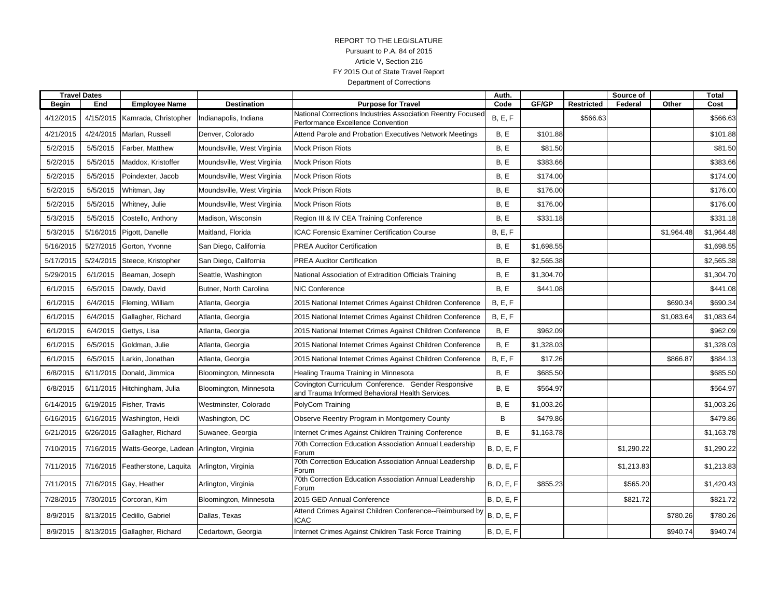# REPORT TO THE LEGISLATURE Pursuant to P.A. 84 of 2015 Article V, Section 216 FY 2015 Out of State Travel Report Department of Corrections

|              | <b>Travel Dates</b> |                                   |                            |                                                                                                       | Auth.             |            |                   | Source of  |            | Total      |
|--------------|---------------------|-----------------------------------|----------------------------|-------------------------------------------------------------------------------------------------------|-------------------|------------|-------------------|------------|------------|------------|
| <b>Begin</b> | End                 | <b>Employee Name</b>              | <b>Destination</b>         | <b>Purpose for Travel</b>                                                                             | Code              | GF/GP      | <b>Restricted</b> | Federal    | Other      | Cost       |
| 4/12/2015    | 4/15/2015           | Kamrada, Christopher              | Indianapolis, Indiana      | National Corrections Industries Association Reentry Focused<br>Performance Excellence Convention      | B, E, F           |            | \$566.63          |            |            | \$566.63   |
| 4/21/2015    |                     | 4/24/2015 Marlan, Russell         | Denver, Colorado           | Attend Parole and Probation Executives Network Meetings                                               | B, E              | \$101.88   |                   |            |            | \$101.88   |
| 5/2/2015     | 5/5/2015            | Farber, Matthew                   | Moundsville, West Virginia | <b>Mock Prison Riots</b>                                                                              | B, E              | \$81.50    |                   |            |            | \$81.50    |
| 5/2/2015     | 5/5/2015            | Maddox, Kristoffer                | Moundsville, West Virginia | <b>Mock Prison Riots</b>                                                                              | B, E              | \$383.66   |                   |            |            | \$383.66   |
| 5/2/2015     | 5/5/2015            | Poindexter, Jacob                 | Moundsville, West Virginia | <b>Mock Prison Riots</b>                                                                              | B, E              | \$174.00   |                   |            |            | \$174.00   |
| 5/2/2015     | 5/5/2015            | Whitman, Jay                      | Moundsville, West Virginia | <b>Mock Prison Riots</b>                                                                              | B, E              | \$176.00   |                   |            |            | \$176.00   |
| 5/2/2015     | 5/5/2015            | Whitney, Julie                    | Moundsville, West Virginia | <b>Mock Prison Riots</b>                                                                              | B, E              | \$176.00   |                   |            |            | \$176.00   |
| 5/3/2015     | 5/5/2015            | Costello, Anthony                 | Madison, Wisconsin         | Region III & IV CEA Training Conference                                                               | B, E              | \$331.18   |                   |            |            | \$331.18   |
| 5/3/2015     |                     | 5/16/2015 Pigott, Danelle         | Maitland, Florida          | <b>ICAC Forensic Examiner Certification Course</b>                                                    | B, E, F           |            |                   |            | \$1,964.48 | \$1,964.48 |
| 5/16/2015    |                     | 5/27/2015 Gorton, Yvonne          | San Diego, California      | <b>PREA Auditor Certification</b>                                                                     | B, E              | \$1,698.55 |                   |            |            | \$1,698.55 |
| 5/17/2015    | 5/24/2015           | Steece, Kristopher                | San Diego, California      | <b>PREA Auditor Certification</b>                                                                     | B, E              | \$2,565.38 |                   |            |            | \$2,565.38 |
| 5/29/2015    | 6/1/2015            | Beaman, Joseph                    | Seattle, Washington        | National Association of Extradition Officials Training                                                | B, E              | \$1,304.70 |                   |            |            | \$1,304.70 |
| 6/1/2015     | 6/5/2015            | Dawdy, David                      | Butner, North Carolina     | <b>NIC Conference</b>                                                                                 | B, E              | \$441.08   |                   |            |            | \$441.08   |
| 6/1/2015     | 6/4/2015            | Fleming, William                  | Atlanta, Georgia           | 2015 National Internet Crimes Against Children Conference                                             | B, E, F           |            |                   |            | \$690.34   | \$690.34   |
| 6/1/2015     | 6/4/2015            | Gallagher, Richard                | Atlanta, Georgia           | 2015 National Internet Crimes Against Children Conference                                             | B, E, F           |            |                   |            | \$1,083.64 | \$1,083.64 |
| 6/1/2015     | 6/4/2015            | Gettys, Lisa                      | Atlanta, Georgia           | 2015 National Internet Crimes Against Children Conference                                             | B, E              | \$962.09   |                   |            |            | \$962.09   |
| 6/1/2015     | 6/5/2015            | Goldman, Julie                    | Atlanta, Georgia           | 2015 National Internet Crimes Against Children Conference                                             | B, E              | \$1,328.03 |                   |            |            | \$1,328.03 |
| 6/1/2015     | 6/5/2015            | Larkin, Jonathan                  | Atlanta, Georgia           | 2015 National Internet Crimes Against Children Conference                                             | B, E, F           | \$17.26    |                   |            | \$866.87   | \$884.13   |
| 6/8/2015     |                     | 6/11/2015 Donald, Jimmica         | Bloomington, Minnesota     | Healing Trauma Training in Minnesota                                                                  | B, E              | \$685.50   |                   |            |            | \$685.50   |
| 6/8/2015     |                     | 6/11/2015 Hitchingham, Julia      | Bloomington, Minnesota     | Covington Curriculum Conference. Gender Responsive<br>and Trauma Informed Behavioral Health Services. | B, E              | \$564.97   |                   |            |            | \$564.97   |
| 6/14/2015    | 6/19/2015           | Fisher, Travis                    | Westminster, Colorado      | PolyCom Training                                                                                      | B, E              | \$1,003.26 |                   |            |            | \$1,003.26 |
| 6/16/2015    |                     | 6/16/2015 Washington, Heidi       | Washington, DC             | Observe Reentry Program in Montgomery County                                                          | B                 | \$479.86   |                   |            |            | \$479.86   |
| 6/21/2015    |                     | 6/26/2015 Gallagher, Richard      | Suwanee, Georgia           | Internet Crimes Against Children Training Conference                                                  | B, E              | \$1,163.78 |                   |            |            | \$1,163.78 |
| 7/10/2015    |                     | 7/16/2015 Watts-George, Ladean    | Arlington, Virginia        | 70th Correction Education Association Annual Leadership<br>Forum                                      | <b>B, D, E, F</b> |            |                   | \$1,290.22 |            | \$1,290.22 |
| 7/11/2015    |                     | 7/16/2015   Featherstone, Laquita | Arlington, Virginia        | 70th Correction Education Association Annual Leadership<br>Forum                                      | <b>B, D, E, F</b> |            |                   | \$1,213.83 |            | \$1,213.83 |
| 7/11/2015    |                     | 7/16/2015 Gay, Heather            | Arlington, Virginia        | 70th Correction Education Association Annual Leadership<br>Forum                                      | <b>B, D, E, F</b> | \$855.23   |                   | \$565.20   |            | \$1,420.43 |
| 7/28/2015    |                     | 7/30/2015 Corcoran, Kim           | Bloomington, Minnesota     | 2015 GED Annual Conference                                                                            | <b>B, D, E, F</b> |            |                   | \$821.72   |            | \$821.72   |
| 8/9/2015     |                     | 8/13/2015 Cedillo, Gabriel        | Dallas, Texas              | Attend Crimes Against Children Conference--Reimbursed by<br>ICAC                                      | <b>B, D, E, F</b> |            |                   |            | \$780.26   | \$780.26   |
| 8/9/2015     |                     | 8/13/2015 Gallagher, Richard      | Cedartown, Georgia         | Internet Crimes Against Children Task Force Training                                                  | <b>B, D, E, F</b> |            |                   |            | \$940.74   | \$940.74   |